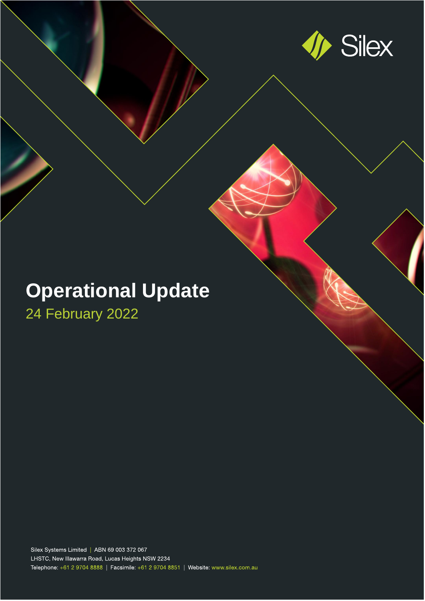

# **Operational Update**

24 February 2022

Silex Systems Limited | ABN 69 003 372 067 LHSTC, New Illawarra Road, Lucas Heights NSW 2234 Telephone: +61 2 9704 8888 | Facsimile: +61 2 9704 8851 | Website: www.silex.com.au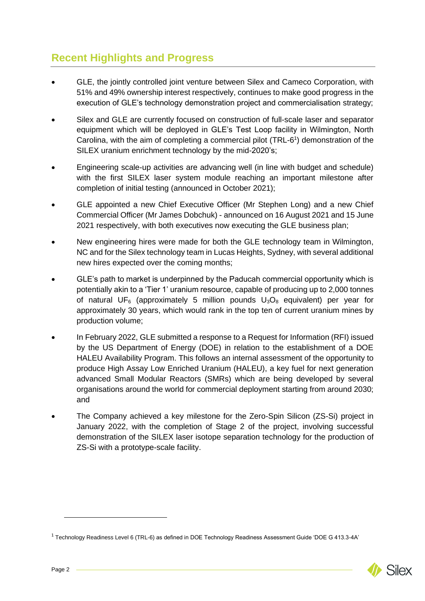# **Recent Highlights and Progress**

- GLE, the jointly controlled joint venture between Silex and Cameco Corporation, with 51% and 49% ownership interest respectively, continues to make good progress in the execution of GLE's technology demonstration project and commercialisation strategy;
- Silex and GLE are currently focused on construction of full-scale laser and separator equipment which will be deployed in GLE's Test Loop facility in Wilmington, North Carolina, with the aim of completing a commercial pilot (TRL-6 1 ) demonstration of the SILEX uranium enrichment technology by the mid-2020's;
- Engineering scale-up activities are advancing well (in line with budget and schedule) with the first SILEX laser system module reaching an important milestone after completion of initial testing (announced in October 2021);
- GLE appointed a new Chief Executive Officer (Mr Stephen Long) and a new Chief Commercial Officer (Mr James Dobchuk) - announced on 16 August 2021 and 15 June 2021 respectively, with both executives now executing the GLE business plan;
- New engineering hires were made for both the GLE technology team in Wilmington, NC and for the Silex technology team in Lucas Heights, Sydney, with several additional new hires expected over the coming months;
- GLE's path to market is underpinned by the Paducah commercial opportunity which is potentially akin to a 'Tier 1' uranium resource, capable of producing up to 2,000 tonnes of natural UF<sub>6</sub> (approximately 5 million pounds  $U_3O_8$  equivalent) per year for approximately 30 years, which would rank in the top ten of current uranium mines by production volume;
- In February 2022, GLE submitted a response to a Request for Information (RFI) issued by the US Department of Energy (DOE) in relation to the establishment of a DOE HALEU Availability Program. This follows an internal assessment of the opportunity to produce High Assay Low Enriched Uranium (HALEU), a key fuel for next generation advanced Small Modular Reactors (SMRs) which are being developed by several organisations around the world for commercial deployment starting from around 2030; and
- The Company achieved a key milestone for the Zero-Spin Silicon (ZS-Si) project in January 2022, with the completion of Stage 2 of the project, involving successful demonstration of the SILEX laser isotope separation technology for the production of ZS-Si with a prototype-scale facility.

 $1$  Technology Readiness Level 6 (TRL-6) as defined in DOE Technology Readiness Assessment Guide 'DOE G 413.3-4A'

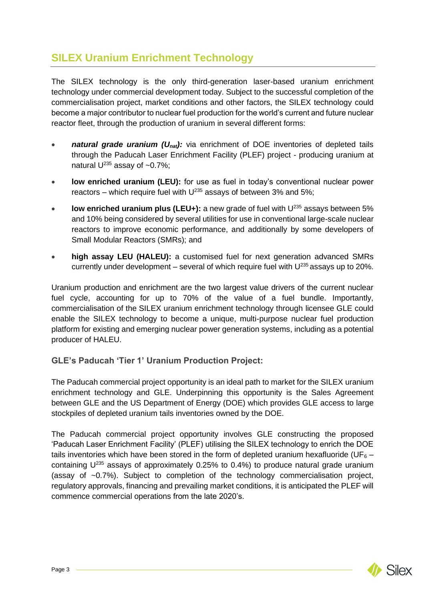# **SILEX Uranium Enrichment Technology**

The SILEX technology is the only third-generation laser-based uranium enrichment technology under commercial development today. Subject to the successful completion of the commercialisation project, market conditions and other factors, the SILEX technology could become a major contributor to nuclear fuel production for the world's current and future nuclear reactor fleet, through the production of uranium in several different forms:

- *natural grade uranium (U<sub>nat</sub>):* via enrichment of DOE inventories of depleted tails through the Paducah Laser Enrichment Facility (PLEF) project - producing uranium at natural  $U^{235}$  assay of ~0.7%;
- **low enriched uranium (LEU):** for use as fuel in today's conventional nuclear power reactors – which require fuel with  $U^{235}$  assays of between 3% and 5%;
- **low enriched uranium plus (LEU+):** a new grade of fuel with U<sup>235</sup> assays between 5% and 10% being considered by several utilities for use in conventional large-scale nuclear reactors to improve economic performance, and additionally by some developers of Small Modular Reactors (SMRs); and
- **high assay LEU (HALEU):** a customised fuel for next generation advanced SMRs currently under development – several of which require fuel with  $U^{235}$  assays up to 20%.

Uranium production and enrichment are the two largest value drivers of the current nuclear fuel cycle, accounting for up to 70% of the value of a fuel bundle. Importantly, commercialisation of the SILEX uranium enrichment technology through licensee GLE could enable the SILEX technology to become a unique, multi-purpose nuclear fuel production platform for existing and emerging nuclear power generation systems, including as a potential producer of HALEU.

### **GLE's Paducah 'Tier 1' Uranium Production Project:**

The Paducah commercial project opportunity is an ideal path to market for the SILEX uranium enrichment technology and GLE. Underpinning this opportunity is the Sales Agreement between GLE and the US Department of Energy (DOE) which provides GLE access to large stockpiles of depleted uranium tails inventories owned by the DOE.

The Paducah commercial project opportunity involves GLE constructing the proposed 'Paducah Laser Enrichment Facility' (PLEF) utilising the SILEX technology to enrich the DOE tails inventories which have been stored in the form of depleted uranium hexafluoride (UF<sub>6</sub> – containing  $U^{235}$  assays of approximately 0.25% to 0.4%) to produce natural grade uranium (assay of ~0.7%). Subject to completion of the technology commercialisation project, regulatory approvals, financing and prevailing market conditions, it is anticipated the PLEF will commence commercial operations from the late 2020's.

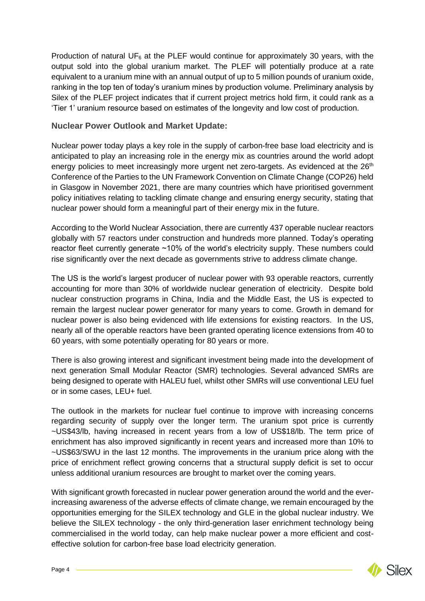Production of natural UF $_6$  at the PLEF would continue for approximately 30 years, with the output sold into the global uranium market. The PLEF will potentially produce at a rate equivalent to a uranium mine with an annual output of up to 5 million pounds of uranium oxide, ranking in the top ten of today's uranium mines by production volume. Preliminary analysis by Silex of the PLEF project indicates that if current project metrics hold firm, it could rank as a 'Tier 1' uranium resource based on estimates of the longevity and low cost of production.

#### **Nuclear Power Outlook and Market Update:**

Nuclear power today plays a key role in the supply of carbon-free base load electricity and is anticipated to play an increasing role in the energy mix as countries around the world adopt energy policies to meet increasingly more urgent net zero-targets. As evidenced at the 26<sup>th</sup> Conference of the Parties to the UN Framework Convention on Climate Change (COP26) held in Glasgow in November 2021, there are many countries which have prioritised government policy initiatives relating to tackling climate change and ensuring energy security, stating that nuclear power should form a meaningful part of their energy mix in the future.

According to the World Nuclear Association, there are currently 437 operable nuclear reactors globally with 57 reactors under construction and hundreds more planned. Today's operating reactor fleet currently generate ~10% of the world's electricity supply. These numbers could rise significantly over the next decade as governments strive to address climate change.

The US is the world's largest producer of nuclear power with 93 operable reactors, currently accounting for more than 30% of worldwide nuclear generation of electricity. Despite bold nuclear construction programs in China, India and the Middle East, the US is expected to remain the largest nuclear power generator for many years to come. Growth in demand for nuclear power is also being evidenced with life extensions for existing reactors. In the US, nearly all of the operable reactors have been granted operating licence extensions from 40 to 60 years, with some potentially operating for 80 years or more.

There is also growing interest and significant investment being made into the development of next generation Small Modular Reactor (SMR) technologies. Several advanced SMRs are being designed to operate with HALEU fuel, whilst other SMRs will use conventional LEU fuel or in some cases, LEU+ fuel.

The outlook in the markets for nuclear fuel continue to improve with increasing concerns regarding security of supply over the longer term. The uranium spot price is currently ~US\$43/lb, having increased in recent years from a low of US\$18/lb. The term price of enrichment has also improved significantly in recent years and increased more than 10% to ~US\$63/SWU in the last 12 months. The improvements in the uranium price along with the price of enrichment reflect growing concerns that a structural supply deficit is set to occur unless additional uranium resources are brought to market over the coming years.

With significant growth forecasted in nuclear power generation around the world and the everincreasing awareness of the adverse effects of climate change, we remain encouraged by the opportunities emerging for the SILEX technology and GLE in the global nuclear industry. We believe the SILEX technology - the only third-generation laser enrichment technology being commercialised in the world today, can help make nuclear power a more efficient and costeffective solution for carbon-free base load electricity generation.

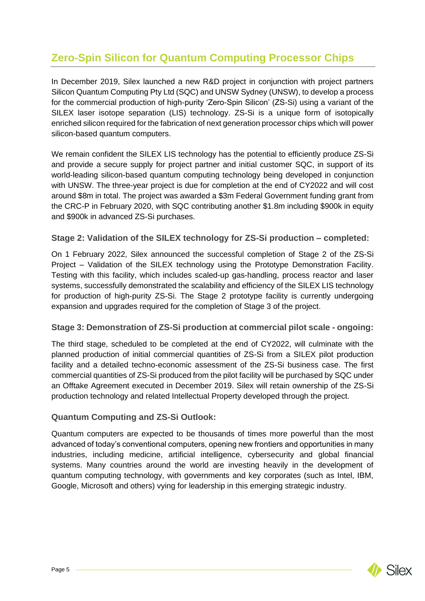# **Zero-Spin Silicon for Quantum Computing Processor Chips**

In December 2019, Silex launched a new R&D project in conjunction with project partners Silicon Quantum Computing Pty Ltd (SQC) and UNSW Sydney (UNSW), to develop a process for the commercial production of high-purity 'Zero-Spin Silicon' (ZS-Si) using a variant of the SILEX laser isotope separation (LIS) technology. ZS-Si is a unique form of isotopically enriched silicon required for the fabrication of next generation processor chips which will power silicon-based quantum computers.

We remain confident the SILEX LIS technology has the potential to efficiently produce ZS-Si and provide a secure supply for project partner and initial customer SQC, in support of its world-leading silicon-based quantum computing technology being developed in conjunction with UNSW. The three-year project is due for completion at the end of CY2022 and will cost around \$8m in total. The project was awarded a \$3m Federal Government funding grant from the CRC-P in February 2020, with SQC contributing another \$1.8m including \$900k in equity and \$900k in advanced ZS-Si purchases.

## **Stage 2: Validation of the SILEX technology for ZS-Si production – completed:**

On 1 February 2022, Silex announced the successful completion of Stage 2 of the ZS-Si Project – Validation of the SILEX technology using the Prototype Demonstration Facility. Testing with this facility, which includes scaled-up gas-handling, process reactor and laser systems, successfully demonstrated the scalability and efficiency of the SILEX LIS technology for production of high-purity ZS-Si. The Stage 2 prototype facility is currently undergoing expansion and upgrades required for the completion of Stage 3 of the project.

### **Stage 3: Demonstration of ZS-Si production at commercial pilot scale - ongoing:**

The third stage, scheduled to be completed at the end of CY2022, will culminate with the planned production of initial commercial quantities of ZS-Si from a SILEX pilot production facility and a detailed techno-economic assessment of the ZS-Si business case. The first commercial quantities of ZS-Si produced from the pilot facility will be purchased by SQC under an Offtake Agreement executed in December 2019. Silex will retain ownership of the ZS-Si production technology and related Intellectual Property developed through the project.

### **Quantum Computing and ZS-Si Outlook:**

Quantum computers are expected to be thousands of times more powerful than the most advanced of today's conventional computers, opening new frontiers and opportunities in many industries, including medicine, artificial intelligence, cybersecurity and global financial systems. Many countries around the world are investing heavily in the development of quantum computing technology, with governments and key corporates (such as Intel, IBM, Google, Microsoft and others) vying for leadership in this emerging strategic industry.

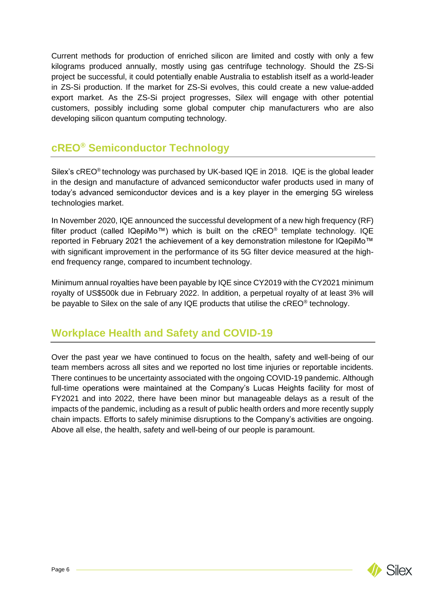Current methods for production of enriched silicon are limited and costly with only a few kilograms produced annually, mostly using gas centrifuge technology. Should the ZS-Si project be successful, it could potentially enable Australia to establish itself as a world-leader in ZS-Si production. If the market for ZS-Si evolves, this could create a new value-added export market. As the ZS-Si project progresses, Silex will engage with other potential customers, possibly including some global computer chip manufacturers who are also developing silicon quantum computing technology.

# **cREO® Semiconductor Technology**

Silex's cREO® technology was purchased by UK-based IQE in 2018. IQE is the global leader in the design and manufacture of advanced semiconductor wafer products used in many of today's advanced semiconductor devices and is a key player in the emerging 5G wireless technologies market.

In November 2020, IQE announced the successful development of a new high frequency (RF) filter product (called  $IQepiMo^m$ ) which is built on the cREO<sup>®</sup> template technology. IQE reported in February 2021 the achievement of a key demonstration milestone for IQepiMo™ with significant improvement in the performance of its 5G filter device measured at the highend frequency range, compared to incumbent technology.

Minimum annual royalties have been payable by IQE since CY2019 with the CY2021 minimum royalty of US\$500k due in February 2022. In addition, a perpetual royalty of at least 3% will be payable to Silex on the sale of any IQE products that utilise the  $c$ REO<sup>®</sup> technology.

# **Workplace Health and Safety and COVID-19**

Over the past year we have continued to focus on the health, safety and well-being of our team members across all sites and we reported no lost time injuries or reportable incidents. There continues to be uncertainty associated with the ongoing COVID-19 pandemic. Although full-time operations were maintained at the Company's Lucas Heights facility for most of FY2021 and into 2022, there have been minor but manageable delays as a result of the impacts of the pandemic, including as a result of public health orders and more recently supply chain impacts. Efforts to safely minimise disruptions to the Company's activities are ongoing. Above all else, the health, safety and well-being of our people is paramount.

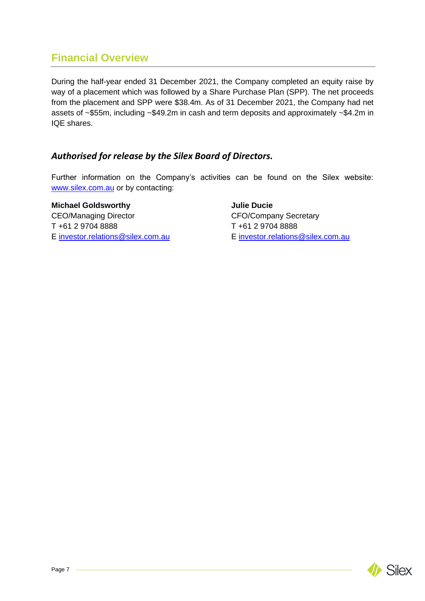# **Financial Overview**

During the half-year ended 31 December 2021, the Company completed an equity raise by way of a placement which was followed by a Share Purchase Plan (SPP). The net proceeds from the placement and SPP were \$38.4m. As of 31 December 2021, the Company had net assets of ~\$55m, including ~\$49.2m in cash and term deposits and approximately ~\$4.2m in IQE shares.

## *Authorised for release by the Silex Board of Directors.*

Further information on the Company's activities can be found on the Silex website: [www.silex.com.au](http://www.silex.com.au/) or by contacting:

**Michael Goldsworthy <b>Constructs Julie Ducie** CEO/Managing Director CEO/Company Secretary T +61 2 9704 8888 T +61 2 9704 8888

E [investor.relations@silex.com.au](mailto:investor.relations@silex.com.au) E [investor.relations@silex.com.au](mailto:investor.relations@silex.com.au)